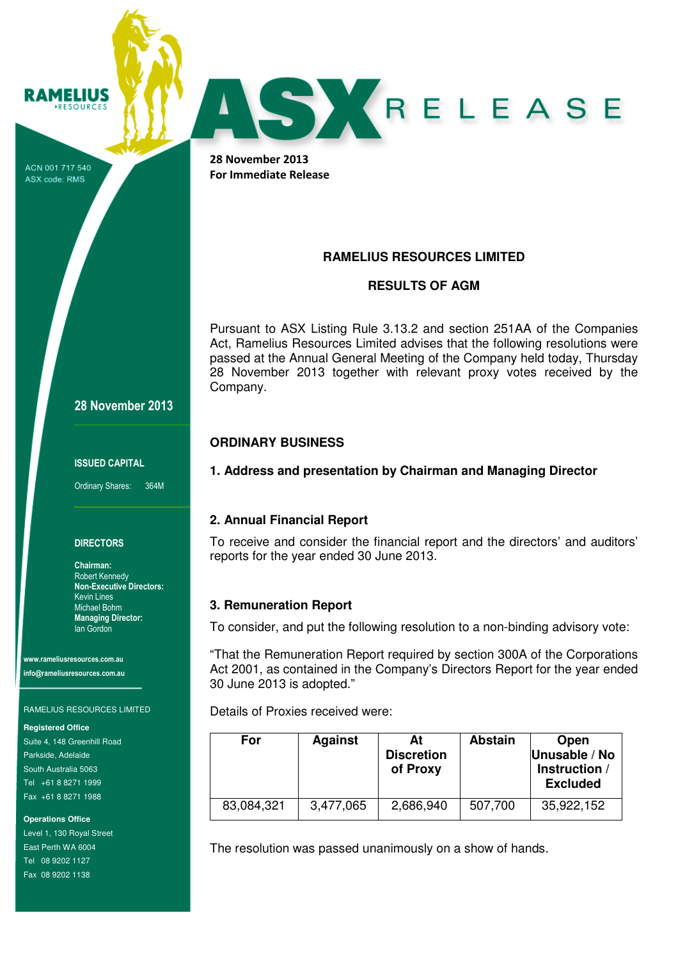ACN 001 717 540 ASX code: RMS

**RAMELIUS RESOURCES** 



28 November 2013 For Immediate Release

# **RAMELIUS RESOURCES LIMITED**

## **RESULTS OF AGM**

Pursuant to ASX Listing Rule 3.13.2 and section 251AA of the Companies Act, Ramelius Resources Limited advises that the following resolutions were passed at the Annual General Meeting of the Company held today, Thursday 28 November 2013 together with relevant proxy votes received by the Company.

## **ORDINARY BUSINESS**

## **1. Address and presentation by Chairman and Managing Director**

## **2. Annual Financial Report**

To receive and consider the financial report and the directors' and auditors' reports for the year ended 30 June 2013.

### **3. Remuneration Report**

To consider, and put the following resolution to a non-binding advisory vote:

"That the Remuneration Report required by section 300A of the Corporations Act 2001, as contained in the Company's Directors Report for the year ended 30 June 2013 is adopted."

Details of Proxies received were:

| For        | <b>Against</b> | At<br><b>Discretion</b><br>of Proxy | <b>Abstain</b> | Open<br>Unusable / No<br>Instruction /<br><b>Excluded</b> |
|------------|----------------|-------------------------------------|----------------|-----------------------------------------------------------|
| 83,084,321 | 3,477,065      | 2,686,940                           | 507,700        | 35,922,152                                                |

The resolution was passed unanimously on a show of hands.

28 November 2013

ISSUED CAPITAL

Ordinary Shares: 364M

### **DIRECTORS**

Chairman: Robert Kennedy Non-Executive Directors: Kevin Lines Michael Bohm Managing Director: Ian Gordon

www.rameliusresources.com.au info@rameliusresources.com.au

#### RAMELIUS RESOURCES LIMITED

#### **Registered Office**

Suite 4, 148 Greenhill Road Parkside, Adelaide South Australia 5063 Tel +61 8 8271 1999 Fax +61 8 8271 1988

**Operations Office** 

Level 1, 130 Royal Street East Perth WA 6004 Tel 08 9202 1127 Fax 08 9202 1138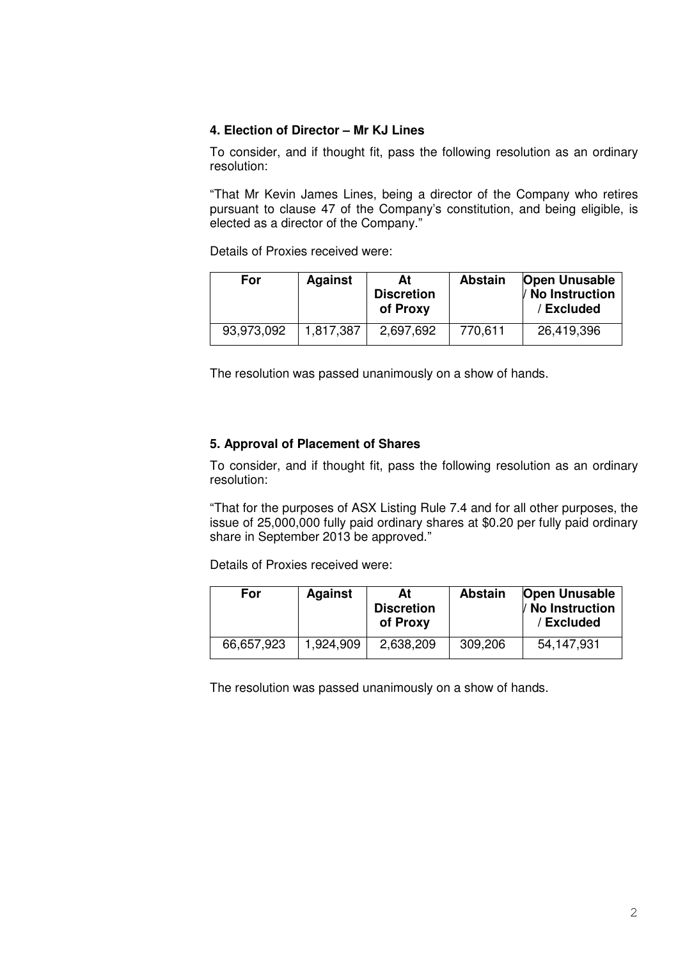### **4. Election of Director – Mr KJ Lines**

To consider, and if thought fit, pass the following resolution as an ordinary resolution:

"That Mr Kevin James Lines, being a director of the Company who retires pursuant to clause 47 of the Company's constitution, and being eligible, is elected as a director of the Company."

Details of Proxies received were:

| For        | <b>Against</b> | At<br><b>Discretion</b><br>of Proxy | <b>Abstain</b> | <b>Open Unusable</b><br>/ No Instruction<br>/ Excluded |
|------------|----------------|-------------------------------------|----------------|--------------------------------------------------------|
| 93,973,092 | 1,817,387      | 2,697,692                           | 770,611        | 26,419,396                                             |

The resolution was passed unanimously on a show of hands.

### **5. Approval of Placement of Shares**

To consider, and if thought fit, pass the following resolution as an ordinary resolution:

"That for the purposes of ASX Listing Rule 7.4 and for all other purposes, the issue of 25,000,000 fully paid ordinary shares at \$0.20 per fully paid ordinary share in September 2013 be approved."

Details of Proxies received were:

| For        | <b>Against</b> | At<br><b>Discretion</b><br>of Proxy | <b>Abstain</b> | <b>Open Unusable</b><br>/ No Instruction<br>/ Excluded |
|------------|----------------|-------------------------------------|----------------|--------------------------------------------------------|
| 66,657,923 | 1,924,909      | 2,638,209                           | 309,206        | 54,147,931                                             |

The resolution was passed unanimously on a show of hands.